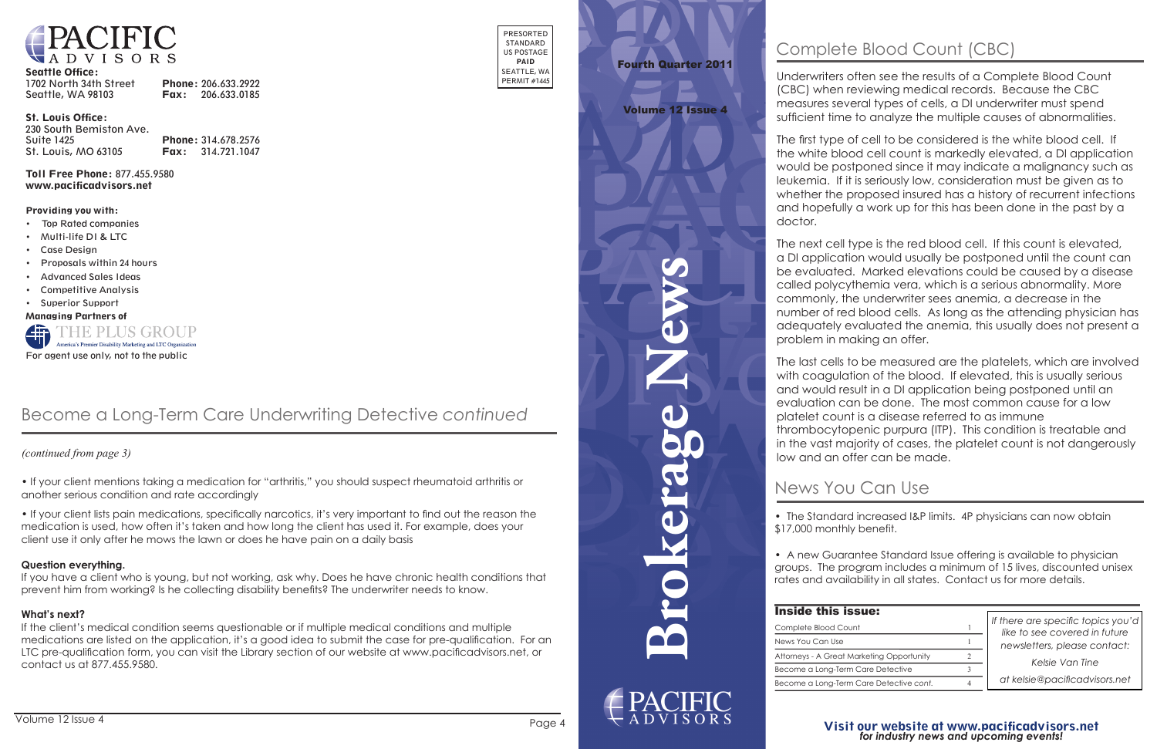**Brokerage News**



1702 North 34th Street Phone: 206.633.2922 Seattle, WA 98103 **Fax:** 206.633.0185



#### Seattle Office:

St. Louis Office:

230 South Bemiston Ave. Suite 1425 **Phone:** 314.678.2576 St. Louis, MO 63105 Fax: 314.721.1047

Toll Free Phone: 877.455.9580 www.pacificadvisors.net

PRESORTED STANDARD US POSTAGE PAID SEATTLE, WA PERMIT #1445

# **Fourth Quarter 2011**

Providing you with:

- • Top Rated companies
- • Multi-life DI & LTC
- **Case Design**
- • Proposals within 24 hours
- **Advanced Sales Ideas**
- **Competitive Analysis**
- • Superior Support

### Visit our website at www.pacificadvisors.net *Visit our website at www.pacificadvisors.net for industry news and upcoming events! for industry news and upcoming events!*

Managing Partners of



*Kelsie Van Tine at kelsie@pacificadvisors.net at kelsie@pacificadvisors.net*

AMA and American Bar Association Discounts

4

## **News You Can Use** Pacific Advisors in October 2012 servicing Arizona, New Mexico and Texas. Contact her at 505.796.4441

*like to see covered in future like to see covered in future newsletters, please contact: If there are specific topics you'd* 

• The Standard increased I&P limits. 4P physicians can now obtain • **LTC refresher** training now due in AZ, AK, IL, NJ, SC and WA. The initial \$17,000 monthly benefit.

• A new Guarantee Standard Issue offering is available to physician groups. The program includes a minimum of 15 lives, discounted unisex groops: The program increases a milliment of the lives, alsocompa emisor.<br>rates and availability in all states. Contact us for more details. rates and availability in all states. Contact us for more details.

## **Inside this is**

Underwriters often see the results of a Complete Blood Count entire year of 2011. The complete details with complete details 1-2 weeks for the CDC (CBC) when reviewing medical records. Because the CBC<br>records the contact the contact is a River dependence the cond measures several types of cells, a DI underwriter must spend sufficient time to analyze the multiple causes of abnormalities.

*newsletters, please contact: Kelsie Van Tine*

The first type of cell to be considered is the white blood cell. If would be postponed since it may indicate a malignancy such as leukemia. If it is seriously low, consideration must be given as to whether the proposed insured has a history of recurrent infections and hopefully a work up for this has been done in the past by a doctor. when you can to be considered is the written block the white blood cell count is markedly elevated, a DI application

| Inside this issue:                        |   |
|-------------------------------------------|---|
| Complete Blood Count                      |   |
| News You Can Use                          |   |
| Attorneys - A Great Marketing Opportunity | 2 |
| Become a Long-Term Care Detective         |   |
| Become a Long-Term Care Detective cont.   |   |

webcom as the issue is accepted by all carriers. The is accepted by all carriers is accepted by all carriers.

## Volume 12 Issue 1 Volume 12 Issue 4

adequality evaluated file and The next cell type is the red blood cell. If this count is elevated, a DI application would usually be postponed until the count can be evaluated. Marked elevations could be caused by a disease commonly, the underwriter sees anemia, a decrease in the number of red blood cells. As long as the attending physician has called polycythemia vera, which is a serious abnormality. More adequately evaluated the anemia, this usually does not present a

The last cells to be measured are the platelets, which are involved with coagulation of the blood. If elevated, this is usually serious and would result in a DI application being postponed until an evaluation can be done. The most common cause for a low platelet count is a disease referred to as immune thrombocytopenic purpura (ITP). This condition is treatable and low and an offer can be made. in the vast majority of cases, the platelet count is not dangerously

 *(continued from page 3)*

# Complete Blood Count (CBC)

# Become a Long-Term Care Underwriting Detective *continued*

• If your client mentions taking a medication for "arthritis," you should suspect rheumatoid arthritis or another serious condition and rate accordingly

• If your client lists pain medications, specifically narcotics, it's very important to find out the reason the medication is used, how often it's taken and how long the client has used it. For example, does your client use it only after he mows the lawn or does he have pain on a daily basis

#### **Question everything.**

 LTC pre-qualification form, you can visit the Library section of our website at www.pacificadvisors.net, or If the client's medical condition seems questionable or if multiple medical conditions and multiple medications are listed on the application, it's a good idea to submit the case for pre-qualification. For an contact us at 877.455.9580.

If you have a client who is young, but not working, ask why. Does he have chronic health conditions that prevent him from working? Is he collecting disability benefits? The underwriter needs to know.

#### **What's next?**